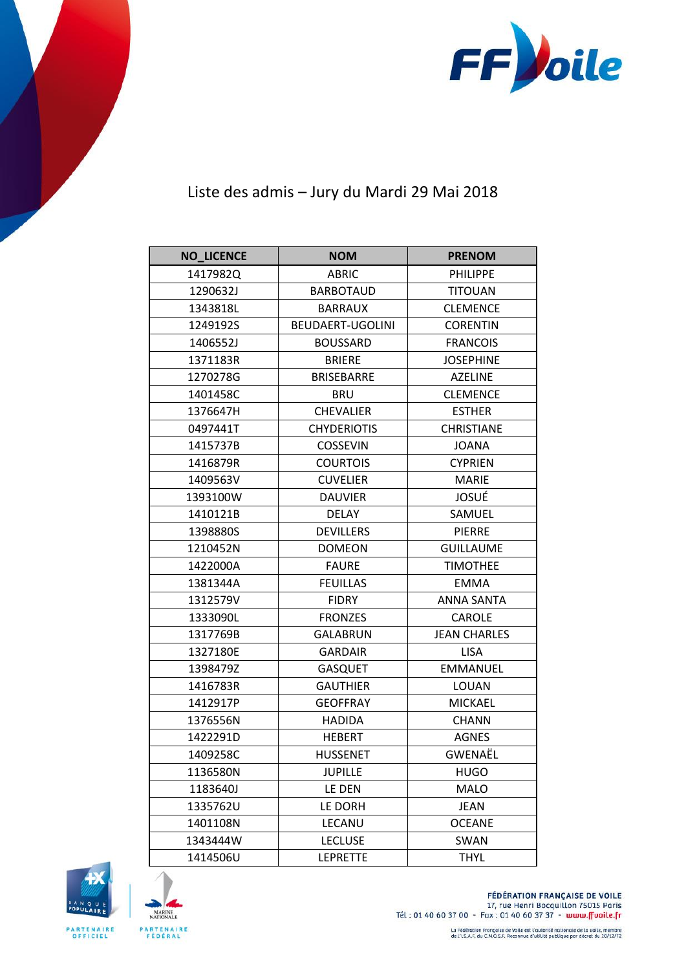

## Liste des admis - Jury du Mardi 29 Mai 2018

| <b>NO_LICENCE</b> | <b>NOM</b>         | <b>PRENOM</b>       |
|-------------------|--------------------|---------------------|
| 1417982Q          | <b>ABRIC</b>       | <b>PHILIPPE</b>     |
| 1290632J          | <b>BARBOTAUD</b>   | <b>TITOUAN</b>      |
| 1343818L          | <b>BARRAUX</b>     | <b>CLEMENCE</b>     |
| 1249192S          | BEUDAERT-UGOLINI   | <b>CORENTIN</b>     |
| 1406552J          | <b>BOUSSARD</b>    | <b>FRANCOIS</b>     |
| 1371183R          | <b>BRIERE</b>      | <b>JOSEPHINE</b>    |
| 1270278G          | <b>BRISEBARRE</b>  | <b>AZELINE</b>      |
| 1401458C          | <b>BRU</b>         | <b>CLEMENCE</b>     |
| 1376647H          | <b>CHEVALIER</b>   | <b>ESTHER</b>       |
| 0497441T          | <b>CHYDERIOTIS</b> | <b>CHRISTIANE</b>   |
| 1415737B          | <b>COSSEVIN</b>    | <b>JOANA</b>        |
| 1416879R          | <b>COURTOIS</b>    | <b>CYPRIEN</b>      |
| 1409563V          | <b>CUVELIER</b>    | <b>MARIE</b>        |
| 1393100W          | <b>DAUVIER</b>     | JOSUÉ               |
| 1410121B          | <b>DELAY</b>       | SAMUEL              |
| 1398880S          | <b>DEVILLERS</b>   | <b>PIERRE</b>       |
| 1210452N          | <b>DOMEON</b>      | <b>GUILLAUME</b>    |
| 1422000A          | <b>FAURE</b>       | <b>TIMOTHEE</b>     |
| 1381344A          | <b>FEUILLAS</b>    | <b>EMMA</b>         |
| 1312579V          | <b>FIDRY</b>       | <b>ANNA SANTA</b>   |
| 1333090L          | <b>FRONZES</b>     | <b>CAROLE</b>       |
| 1317769B          | <b>GALABRUN</b>    | <b>JEAN CHARLES</b> |
| 1327180E          | <b>GARDAIR</b>     | <b>LISA</b>         |
| 1398479Z          | <b>GASQUET</b>     | <b>EMMANUEL</b>     |
| 1416783R          | <b>GAUTHIER</b>    | LOUAN               |
| 1412917P          | <b>GEOFFRAY</b>    | <b>MICKAEL</b>      |
| 1376556N          | <b>HADIDA</b>      | <b>CHANN</b>        |
| 1422291D          | <b>HEBERT</b>      | <b>AGNES</b>        |
| 1409258C          | <b>HUSSENET</b>    | GWENAËL             |
| 1136580N          | <b>JUPILLE</b>     | <b>HUGO</b>         |
| 1183640J          | LE DEN             | <b>MALO</b>         |
| 1335762U          | LE DORH            | JEAN                |
| 1401108N          | LECANU             | <b>OCEANE</b>       |
| 1343444W          | <b>LECLUSE</b>     | SWAN                |
| 1414506U          | <b>LEPRETTE</b>    | <b>THYL</b>         |